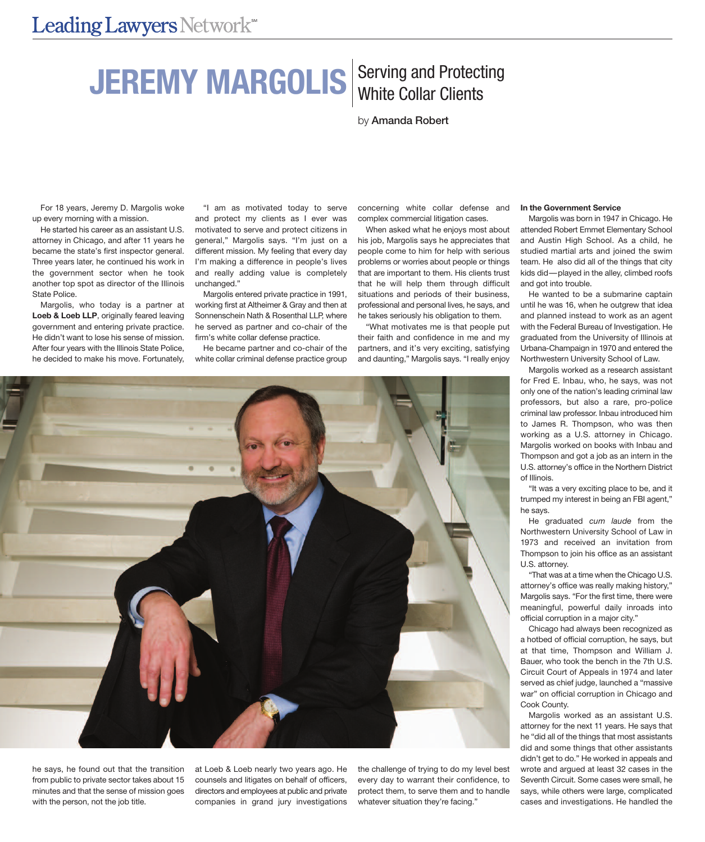# **JEREMY MARGOLIS** Serving and Protecting

by Amanda Robert

For 18 years, Jeremy D. Margolis woke up every morning with a mission.

He started his career as an assistant U.S. attorney in Chicago, and after 11 years he became the state's first inspector general. Three years later, he continued his work in the government sector when he took another top spot as director of the Illinois State Police.

Margolis, who today is a partner at **Loeb & Loeb LLP**, originally feared leaving government and entering private practice. He didn't want to lose his sense of mission. After four years with the Illinois State Police, he decided to make his move. Fortunately,

"I am as motivated today to serve and protect my clients as I ever was motivated to serve and protect citizens in general," Margolis says. "I'm just on a different mission. My feeling that every day I'm making a difference in people's lives and really adding value is completely unchanged."

Margolis entered private practice in 1991, working first at Altheimer & Gray and then at Sonnenschein Nath & Rosenthal LLP, where he served as partner and co-chair of the firm's white collar defense practice.

He became partner and co-chair of the white collar criminal defense practice group

concerning white collar defense and complex commercial litigation cases.

When asked what he enjoys most about his job, Margolis says he appreciates that people come to him for help with serious problems or worries about people or things that are important to them. His clients trust that he will help them through difficult situations and periods of their business, professional and personal lives, he says, and he takes seriously his obligation to them.

"What motivates me is that people put their faith and confidence in me and my partners, and it's very exciting, satisfying and daunting," Margolis says. "I really enjoy

## **In the Government Service**

Margolis was born in 1947 in Chicago. He attended Robert Emmet Elementary School and Austin High School. As a child, he studied martial arts and joined the swim team. He also did all of the things that city kids did—played in the alley, climbed roofs and got into trouble.

He wanted to be a submarine captain until he was 16, when he outgrew that idea and planned instead to work as an agent with the Federal Bureau of Investigation. He graduated from the University of Illinois at Urbana-Champaign in 1970 and entered the Northwestern University School of Law.

Margolis worked as a research assistant for Fred E. Inbau, who, he says, was not only one of the nation's leading criminal law professors, but also a rare, pro-police criminal law professor. Inbau introduced him to James R. Thompson, who was then working as a U.S. attorney in Chicago. Margolis worked on books with Inbau and Thompson and got a job as an intern in the U.S. attorney's office in the Northern District of Illinois.

"It was a very exciting place to be, and it trumped my interest in being an FBI agent," he says.

He graduated *cum laude* from the Northwestern University School of Law in 1973 and received an invitation from Thompson to join his office as an assistant U.S. attorney.

"That was at a time when the Chicago U.S. attorney's office was really making history," Margolis says. "For the first time, there were meaningful, powerful daily inroads into official corruption in a major city."

Chicago had always been recognized as a hotbed of official corruption, he says, but at that time, Thompson and William J. Bauer, who took the bench in the 7th U.S. Circuit Court of Appeals in 1974 and later served as chief judge, launched a "massive war" on official corruption in Chicago and Cook County.

Margolis worked as an assistant U.S. attorney for the next 11 years. He says that he "did all of the things that most assistants did and some things that other assistants didn't get to do." He worked in appeals and wrote and argued at least 32 cases in the Seventh Circuit. Some cases were small, he says, while others were large, complicated cases and investigations. He handled the



he says, he found out that the transition from public to private sector takes about 15 minutes and that the sense of mission goes with the person, not the job title.

at Loeb & Loeb nearly two years ago. He counsels and litigates on behalf of officers, directors and employees at public and private companies in grand jury investigations

the challenge of trying to do my level best every day to warrant their confidence, to protect them, to serve them and to handle whatever situation they're facing."